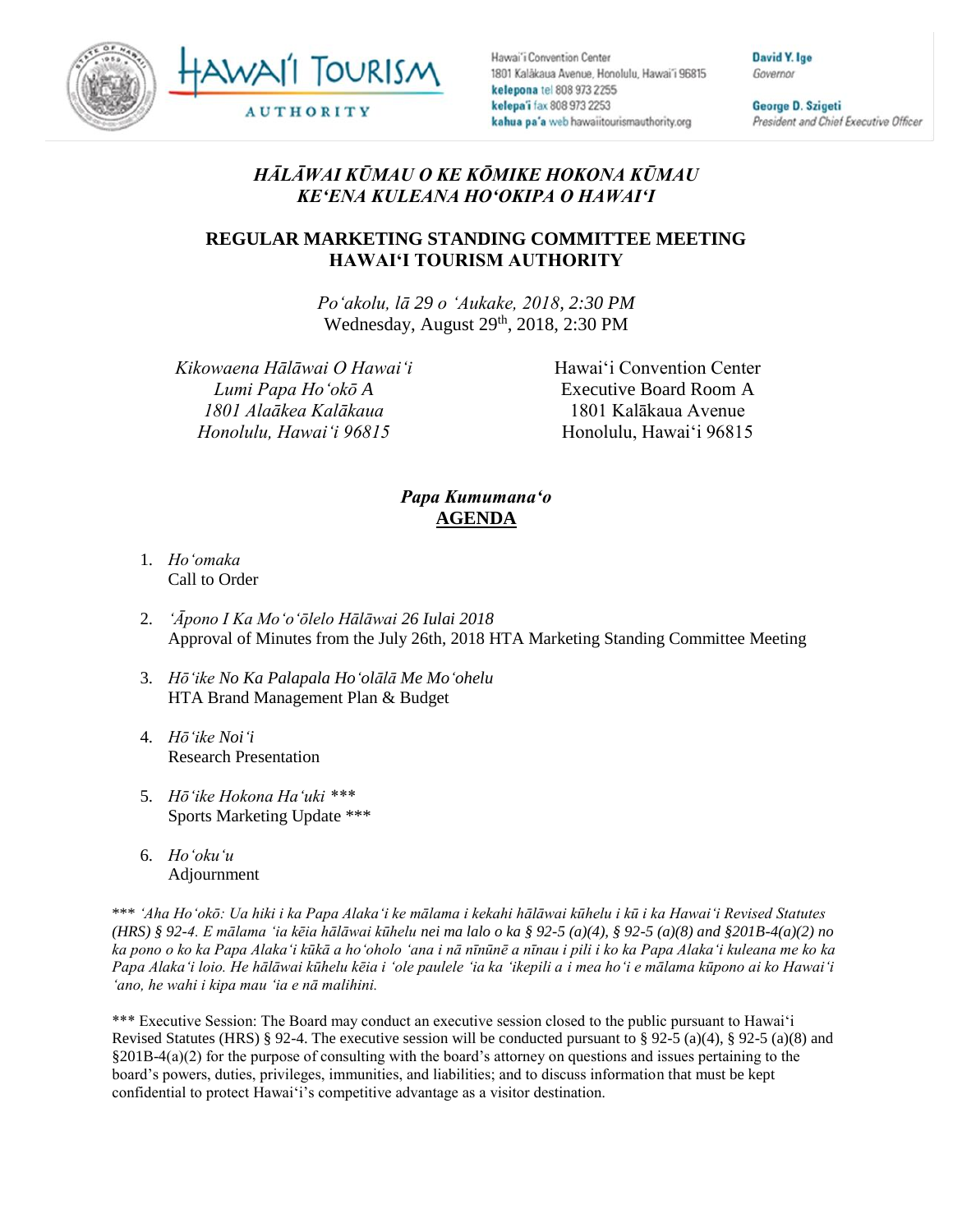



Hawai'i Convention Center 1801 Kalakaua Avenue, Honolulu, Hawai'i 96815 kelepona tel 808 973 2255 kelepa'i fax 808 973 2253 kahua pa'a web hawaiitourismauthority.org

David Y. Ige Governor

George D. Szigeti President and Chief Executive Officer

## *HĀLĀWAI KŪMAU O KE KŌMIKE HOKONA KŪMAU KEʻENA KULEANA HOʻOKIPA O HAWAIʻI*

## **REGULAR MARKETING STANDING COMMITTEE MEETING HAWAI'I TOURISM AUTHORITY**

*Poʻakolu, lā 29 o ʻAukake, 2018, 2:30 PM* Wednesday, August 29<sup>th</sup>, 2018, 2:30 PM

*Kikowaena Hālāwai O Hawaiʻi Lumi Papa Hoʻokō A 1801 Alaākea Kalākaua Honolulu, Hawaiʻi 96815*

Hawai'i Convention Center Executive Board Room A 1801 Kalākaua Avenue Honolulu, Hawai'i 96815

## *Papa Kumumanaʻo* **AGENDA**

- 1. *Ho'omaka* Call to Order
- 2. *'Āpono I Ka Moʻoʻōlelo Hālāwai 26 Iulai 2018* Approval of Minutes from the July 26th, 2018 HTA Marketing Standing Committee Meeting
- 3. *Hōʻike No Ka Palapala Hoʻolālā Me Mo'ohelu*  HTA Brand Management Plan & Budget
- 4. *Hōʻike Noiʻi* Research Presentation
- 5. *Hōʻike Hokona Haʻuki \*\*\** Sports Marketing Update \*\*\*
- 6. *Ho'oku'u* Adjournment

\*\*\* *ʻAha Hoʻokō: Ua hiki i ka Papa Alakaʻi ke mālama i kekahi hālāwai kūhelu i kū i ka Hawaiʻi Revised Statutes (HRS) § 92-4. E mālama ʻia kēia hālāwai kūhelu nei ma lalo o ka § 92-5 (a)(4), § 92-5 (a)(8) and §201B-4(a)(2) no ka pono o ko ka Papa Alakaʻi kūkā a hoʻoholo ʻana i nā nīnūnē a nīnau i pili i ko ka Papa Alakaʻi kuleana me ko ka Papa Alakaʻi loio. He hālāwai kūhelu kēia i ʻole paulele ʻia ka ʻikepili a i mea hoʻi e mālama kūpono ai ko Hawaiʻi ʻano, he wahi i kipa mau ʻia e nā malihini.*

\*\*\* Executive Session: The Board may conduct an executive session closed to the public pursuant to Hawai'i Revised Statutes (HRS) § 92-4. The executive session will be conducted pursuant to § 92-5 (a)(4), § 92-5 (a)(8) and §201B-4(a)(2) for the purpose of consulting with the board's attorney on questions and issues pertaining to the board's powers, duties, privileges, immunities, and liabilities; and to discuss information that must be kept confidential to protect Hawai'i's competitive advantage as a visitor destination.